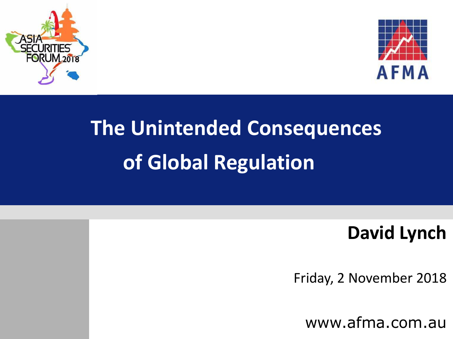



# **The Unintended Consequences of Global Regulation**

#### **David Lynch**

Friday, 2 November 2018

www.afma.com.au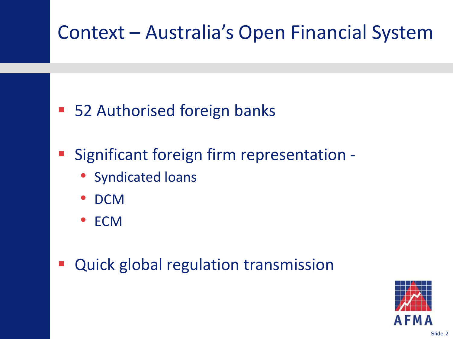### Context – Australia's Open Financial System

- 52 Authorised foreign banks
- Significant foreign firm representation
	- Syndicated loans
	- DCM
	- ECM
- Quick global regulation transmission

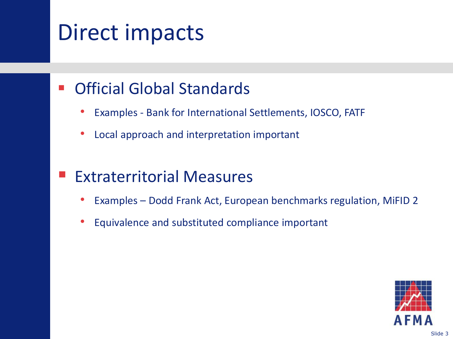## Direct impacts

#### **• Official Global Standards**

- Examples Bank for International Settlements, IOSCO, FATF
- Local approach and interpretation important

#### Extraterritorial Measures

- Examples Dodd Frank Act, European benchmarks regulation, MiFID 2
- Equivalence and substituted compliance important

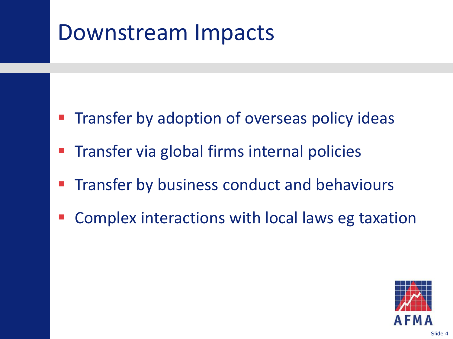### Downstream Impacts

- Transfer by adoption of overseas policy ideas
- Transfer via global firms internal policies
- Transfer by business conduct and behaviours
- Complex interactions with local laws eg taxation

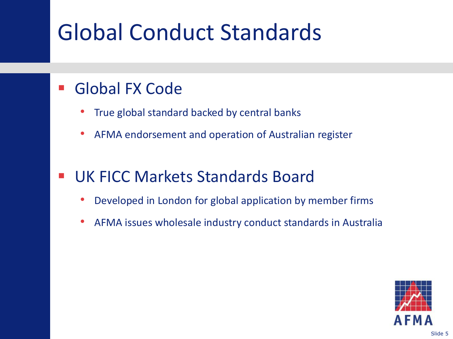# Global Conduct Standards

#### Global FX Code

- True global standard backed by central banks
- AFMA endorsement and operation of Australian register

#### UK FICC Markets Standards Board

- Developed in London for global application by member firms
- AFMA issues wholesale industry conduct standards in Australia

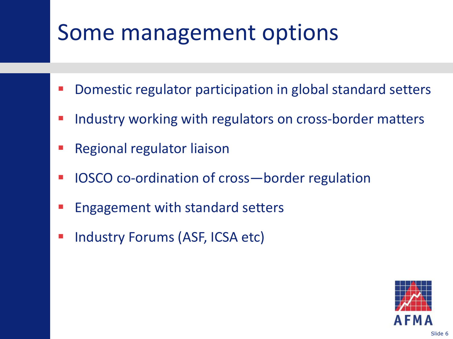## Some management options

- Domestic regulator participation in global standard setters
- Industry working with regulators on cross-border matters
- Regional regulator liaison
- IOSCO co-ordination of cross—border regulation
- Engagement with standard setters
- Industry Forums (ASF, ICSA etc)